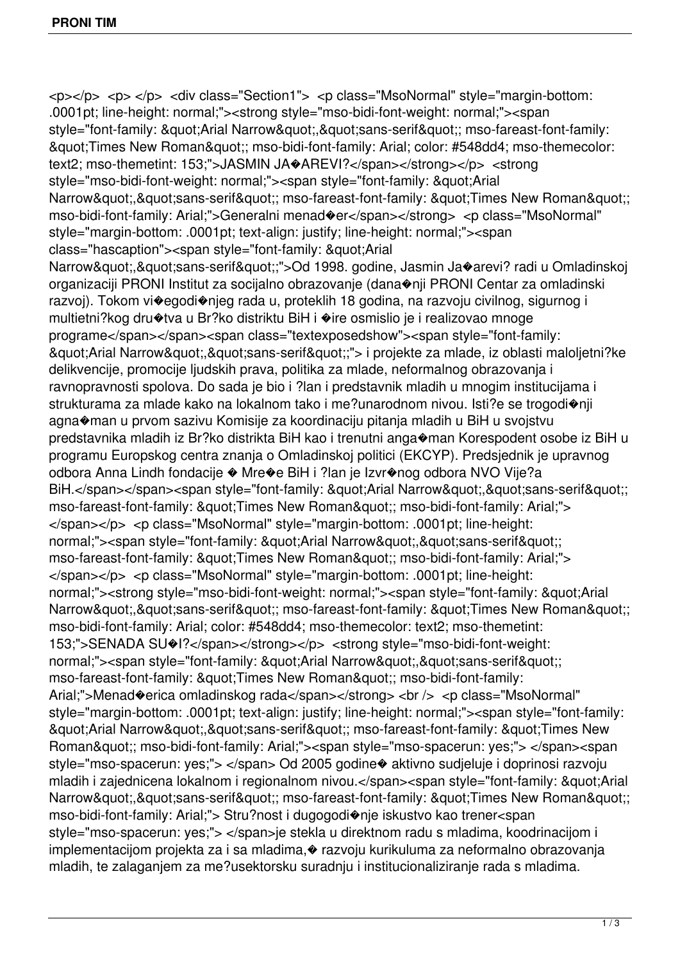<p></p> <p> </p> <div class="Section1"> <p class="MsoNormal" style="margin-bottom: .0001pt; line-height: normal;"><strong style="mso-bidi-font-weight: normal;"><span style="font-family: "Arial Narrow","sans-serif"; mso-fareast-font-family: & aupt: Times New Roman & aupt:; mso-bidi-font-family: Arial; color: #548dd4; mso-themecolor: text2; mso-themetint: 153;">JASMIN JA�AREVI?</span></strong></p></strong style="mso-bidi-font-weight: normal;"><span style="font-family: &quot;Arial Narrow","sans-serif"; mso-fareast-font-family: "Times New Roman"; mso-bidi-font-family: Arial;">Generalni menad�er</span></strong> <p class="MsoNormal" style="margin-bottom: .0001pt; text-align: justify; line-height: normal;"><span class="hascaption"><span style="font-family: &quot:Arial Narrow","sans-serif";">Od 1998. godine, Jasmin Ja�arevi? radi u Omladinskoj organizaciji PRONI Institut za socijalno obrazovanje (dana�nji PRONI Centar za omladinski razvoj). Tokom vi�egodi�njeg rada u, proteklih 18 godina, na razvoju civilnog, sigurnog i multietni?kog dru�tva u Br?ko distriktu BiH i �ire osmislio je i realizovao mnoge programe</span></span><span class="textexposedshow"><span style="font-family: "Arial Narrow","sans-serif";"> i projekte za mlade, iz oblasti maloljetni?ke delikvencije, promocije ljudskih prava, politika za mlade, neformalnog obrazovanja i ravnopravnosti spolova. Do sada je bio i ?lan i predstavnik mladih u mnogim institucijama i strukturama za mlade kako na lokalnom tako i me?unarodnom nivou. Isti?e se trogodi�nji agna�man u prvom sazivu Komisije za koordinaciju pitanja mladih u BiH u svojstvu predstavnika mladih iz Br?ko distrikta BiH kao i trenutni anga�man Korespodent osobe iz BiH u programu Europskog centra znanja o Omladinskoj politici (EKCYP). Predsjednik je upravnog odbora Anna Lindh fondacije � Mre�e BiH i ?lan je Izvr�nog odbora NVO Vije?a BiH.</span></span><span style="font-family: &quot;Arial Narrow&quot;,&quot;sans-serif&quot;; mso-fareast-font-family: &quot:Times New Roman&quot:; mso-bidi-font-family: Arial;"> </span></p> <p class="MsoNormal" style="margin-bottom: .0001pt; line-height: normal;"><span style="font-family: &quot;Arial Narrow&quot;,&quot;sans-serif&quot;; mso-fareast-font-family: " Times New Roman"; mso-bidi-font-family: Arial;"> </span></p> <p class="MsoNormal" style="margin-bottom: .0001pt; line-height: normal;"><strong style="mso-bidi-font-weight: normal;"><span style="font-family: &quot;Arial Narrow","sans-serif"; mso-fareast-font-family: "Times New Roman"; mso-bidi-font-family: Arial; color: #548dd4; mso-themecolor: text2; mso-themetint: 153;">SENADA SU</span></strong></p></strong style="mso-bidi-font-weight: normal;"><span style="font-family: &quot;Arial Narrow&quot;,&quot;sans-serif&quot;; mso-fareast-font-family: " Times New Roman"; mso-bidi-font-family: Arial;">Menad�erica omladinskog rada</span></strong> <br />> <p class="MsoNormal" style="margin-bottom: .0001pt; text-align: justify; line-height: normal;"><span style="font-family: "Arial Narrow","sans-serif"; mso-fareast-font-family: "Times New Roman&quot:; mso-bidi-font-family: Arial;"><span style="mso-spacerun: yes;"> </span><span style="mso-spacerun: yes;"> </span> Od 2005 godine $\bullet$  aktivno sudjeluje i doprinosi razvoju mladih i zajednicena lokalnom i regionalnom nivou.</span><span style="font-family: &quot:Arial Narrow","sans-serif"; mso-fareast-font-family: "Times New Roman"; mso-bidi-font-family: Arial;"> Stru?nost i dugogodi�nje iskustvo kao trener<span style="mso-spacerun: yes;"> </span>je stekla u direktnom radu s mladima, koodrinacijom i implementacijom projekta za i sa mladima,� razvoju kurikuluma za neformalno obrazovanja mladih, te zalaganjem za me?usektorsku suradnju i institucionaliziranje rada s mladima.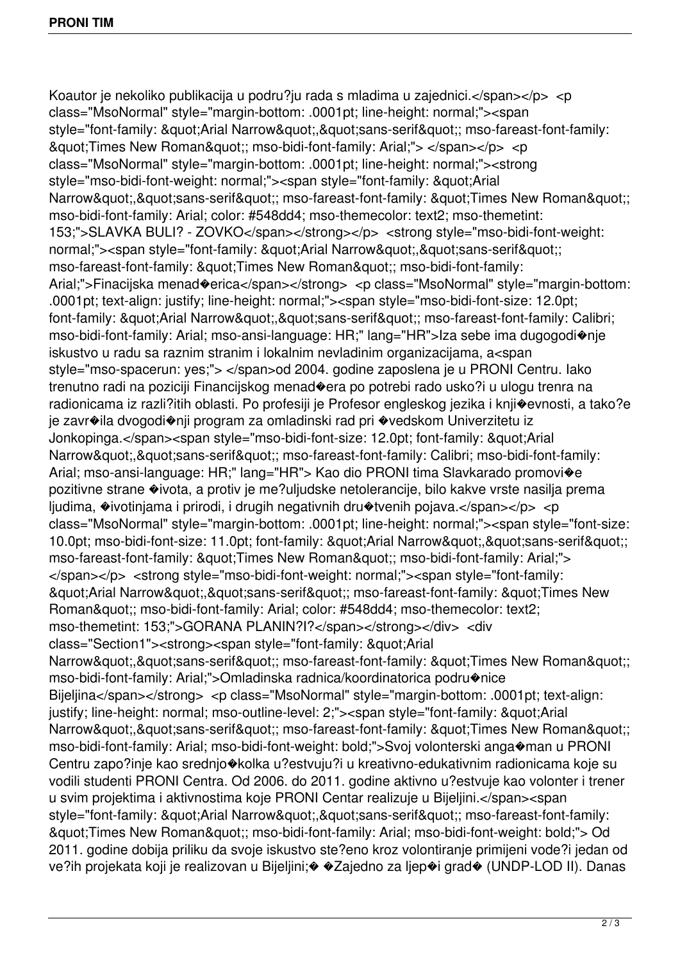Koautor je nekoliko publikacija u podru?ju rada s mladima u zajednici.</span></p> <p class="MsoNormal" style="margin-bottom: .0001pt; line-height: normal;"><span style="font-family: "Arial Narrow","sans-serif"; mso-fareast-font-family: & aupt: Times New Roman & aupt:: mso-bidi-font-family: Arial;"> </span></p> <p class="MsoNormal" style="margin-bottom: .0001pt; line-height: normal;"><strong style="mso-bidi-font-weight: normal;"><span style="font-family: &quot;Arial Narrow","sans-serif"; mso-fareast-font-family: "Times New Roman"; mso-bidi-font-family: Arial; color: #548dd4; mso-themecolor: text2; mso-themetint: 153;">SLAVKA BULI? - ZOVKO</span></strong></p> <strong style="mso-bidi-font-weight: normal;"><span style="font-family: &quot:Arial Narrow&quot:.&quot:sans-serif&quot:: mso-fareast-font-family: " Times New Roman"; mso-bidi-font-family: Arial;">Finacijska menad�erica</span></strong> <p class="MsoNormal" style="margin-bottom: .0001pt; text-align: justify; line-height: normal;"><span style="mso-bidi-font-size: 12.0pt; font-family: "Arial Narrow","sans-serif"; mso-fareast-font-family: Calibri; mso-bidi-font-family: Arial; mso-ansi-language: HR;" lang="HR">Iza sebe ima dugogodi�nje iskustvo u radu sa raznim stranim i lokalnim nevladinim organizacijama, a<span style="mso-spacerun: yes;"> </span>od 2004. godine zaposlena je u PRONI Centru. Iako trenutno radi na poziciji Financijskog menad�era po potrebi rado usko?i u ulogu trenra na radionicama iz razli?itih oblasti. Po profesiji je Profesor engleskog jezika i knji�evnosti, a tako?e je zavr�ila dvogodi�nji program za omladinski rad pri �vedskom Univerzitetu iz Jonkopinga.</span><span style="mso-bidi-font-size: 12.0pt; font-family: &quot;Arial Narrow","sans-serif"; mso-fareast-font-family: Calibri; mso-bidi-font-family: Arial; mso-ansi-language: HR;" lang="HR"> Kao dio PRONI tima Slavkarado promovi�e pozitivne strane �ivota, a protiv je me?uljudske netolerancije, bilo kakve vrste nasilja prema ljudima,  $\triangle$ ivotinjama i prirodi, i drugih negativnih dru $\triangle$ tvenih pojava.</span></p> <p class="MsoNormal" style="margin-bottom: .0001pt; line-height: normal;"><span style="font-size: 10.0pt; mso-bidi-font-size: 11.0pt; font-family: "Arial Narrow","sans-serif"; mso-fareast-font-family: &quot:Times New Roman&quot:; mso-bidi-font-family: Arial;"> </span></p> <strong style="mso-bidi-font-weight: normal;"><span style="font-family: & guot; Arial Narrow & quot;, & quot; sans-serif & quot;; mso-fareast-font-family: & quot; Times New Roman&quot:; mso-bidi-font-family: Arial; color: #548dd4; mso-themecolor: text2; mso-themetint: 153;">GORANA PLANIN?I?</span></strong></div> <div class="Section1"><strong><span style="font-family: &quot:Arial Narrow","sans-serif"; mso-fareast-font-family: "Times New Roman"; mso-bidi-font-family: Arial;">Omladinska radnica/koordinatorica podru�nice Bijeljina</span></strong> <p class="MsoNormal" style="margin-bottom: .0001pt; text-align: justify; line-height: normal; mso-outline-level: 2;"><span style="font-family: &quot;Arial Narrow","sans-serif"; mso-fareast-font-family: "Times New Roman"; mso-bidi-font-family: Arial; mso-bidi-font-weight: bold;">Svoj volonterski anga�man u PRONI Centru zapo?inje kao srednjo�kolka u?estvuju?i u kreativno-edukativnim radionicama koje su vodili studenti PRONI Centra. Od 2006. do 2011. godine aktivno u?estvuje kao volonter i trener u svim projektima i aktivnostima koje PRONI Centar realizuje u Bijeljini.</span><span style="font-family: "Arial Narrow","sans-serif"; mso-fareast-font-family: "Times New Roman"; mso-bidi-font-family: Arial; mso-bidi-font-weight: bold;"> Od 2011. godine dobija priliku da svoje iskustvo ste?eno kroz volontiranje primijeni vode?i jedan od ve?ih projekata koji je realizovan u Bijeljini;� �Zajedno za ljep�i grad� (UNDP-LOD II). Danas